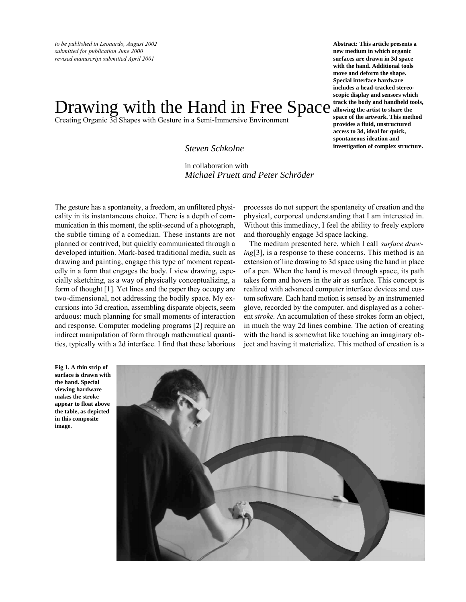# Drawing with the Hand in Free Space strack the body and handheld tools,

Creating Organic 3d Shapes with Gesture in a Semi-Immersive Environment

*Steven Schkolne*

*Michael Pruett and Peter Schröder* in collaboration with

The gesture has a spontaneity, a freedom, an unfiltered physicality in its instantaneous choice. There is a depth of communication in this moment, the split-second of a photograph, the subtle timing of a comedian. These instants are not planned or contrived, but quickly communicated through a developed intuition. Mark-based traditional media, such as drawing and painting, engage this type of moment repeatedly in a form that engages the body. I view drawing, especially sketching, as a way of physically conceptualizing, a form of thought [1]. Yet lines and the paper they occupy are two-dimensional, not addressing the bodily space. My excursions into 3d creation, assembling disparate objects, seem arduous: much planning for small moments of interaction and response. Computer modeling programs [2] require an indirect manipulation of form through mathematical quantities, typically with a 2d interface. I find that these laborious

**Abstract: This article presents a new medium in which organic surfaces are drawn in 3d space with the hand. Additional tools move and deform the shape. Special interface hardware includes a head-tracked stereoscopic display and sensors which allowing the artist to share the space of the artwork. This method provides a fluid, unstructured access to 3d, ideal for quick, spontaneous ideation and investigation of complex structure.**

processes do not support the spontaneity of creation and the physical, corporeal understanding that I am interested in. Without this immediacy, I feel the ability to freely explore and thoroughly engage 3d space lacking.

The medium presented here, which I call *surface drawing*[3], is a response to these concerns. This method is an extension of line drawing to 3d space using the hand in place of a pen. When the hand is moved through space, its path takes form and hovers in the air as surface. This concept is realized with advanced computer interface devices and custom software. Each hand motion is sensed by an instrumented glove, recorded by the computer, and displayed as a coherent *stroke*. An accumulation of these strokes form an object, in much the way 2d lines combine. The action of creating with the hand is somewhat like touching an imaginary object and having it materialize. This method of creation is a

**Fig 1. A thin strip of surface is drawn with the hand. Special viewing hardware makes the stroke appear to float above the table, as depicted in this composite image.**

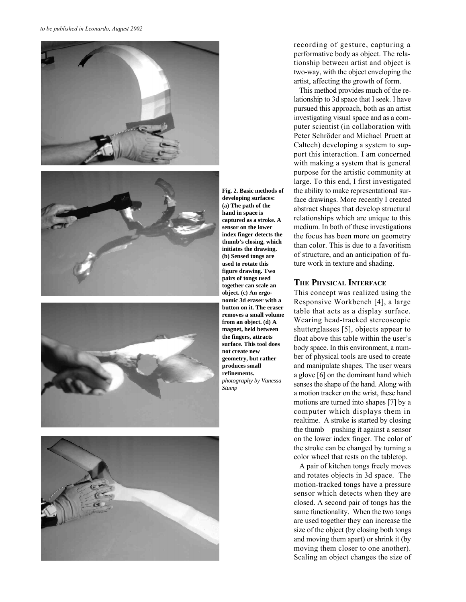

**Fig. 2. Basic methods of developing surfaces: (a) The path of the hand in space is captured as a stroke. A sensor on the lower index finger detects the thumb's closing, which initiates the drawing. (b) Sensed tongs are used to rotate this figure drawing. Two pairs of tongs used together can scale an object. (c) An ergonomic 3d eraser with a button on it. The eraser removes a small volume from an object. (d) A magnet, held between the fingers, attracts surface. This tool does not create new geometry, but rather produces small refinements.** *photography by Vanessa Stump*

recording of gesture, capturing a performative body as object. The relationship between artist and object is two-way, with the object enveloping the artist, affecting the growth of form.

This method provides much of the relationship to 3d space that I seek. I have pursued this approach, both as an artist investigating visual space and as a computer scientist (in collaboration with Peter Schröder and Michael Pruett at Caltech) developing a system to support this interaction. I am concerned with making a system that is general purpose for the artistic community at large. To this end, I first investigated the ability to make representational surface drawings. More recently I created abstract shapes that develop structural relationships which are unique to this medium. In both of these investigations the focus has been more on geometry than color. This is due to a favoritism of structure, and an anticipation of future work in texture and shading.

#### **THE PHYSICAL INTERFACE**

This concept was realized using the Responsive Workbench [4], a large table that acts as a display surface. Wearing head-tracked stereoscopic shutterglasses [5], objects appear to float above this table within the user's body space. In this environment, a number of physical tools are used to create and manipulate shapes. The user wears a glove [6] on the dominant hand which senses the shape of the hand. Along with a motion tracker on the wrist, these hand motions are turned into shapes [7] by a computer which displays them in realtime. A stroke is started by closing the thumb – pushing it against a sensor on the lower index finger. The color of the stroke can be changed by turning a color wheel that rests on the tabletop.

A pair of kitchen tongs freely moves and rotates objects in 3d space. The motion-tracked tongs have a pressure sensor which detects when they are closed. A second pair of tongs has the same functionality. When the two tongs are used together they can increase the size of the object (by closing both tongs and moving them apart) or shrink it (by moving them closer to one another). Scaling an object changes the size of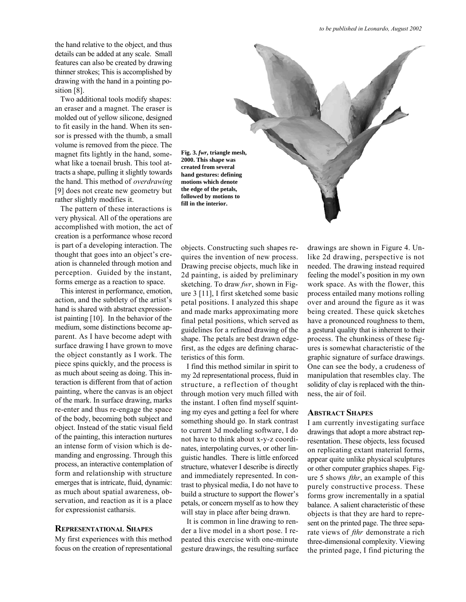the hand relative to the object, and thus details can be added at any scale. Small features can also be created by drawing thinner strokes; This is accomplished by drawing with the hand in a pointing position [8].

Two additional tools modify shapes: an eraser and a magnet. The eraser is molded out of yellow silicone, designed to fit easily in the hand. When its sensor is pressed with the thumb, a small volume is removed from the piece. The magnet fits lightly in the hand, somewhat like a toenail brush. This tool attracts a shape, pulling it slightly towards the hand. This method of *overdrawing* [9] does not create new geometry but rather slightly modifies it.

The pattern of these interactions is very physical. All of the operations are accomplished with motion, the act of creation is a performance whose record is part of a developing interaction. The thought that goes into an object's creation is channeled through motion and perception. Guided by the instant, forms emerge as a reaction to space.

This interest in performance, emotion, action, and the subtlety of the artist's hand is shared with abstract expressionist painting [10]. In the behavior of the medium, some distinctions become apparent. As I have become adept with surface drawing I have grown to move the object constantly as I work. The piece spins quickly, and the process is as much about seeing as doing. This interaction is different from that of action painting, where the canvas is an object of the mark. In surface drawing, marks re-enter and thus re-engage the space of the body, becoming both subject and object. Instead of the static visual field of the painting, this interaction nurtures an intense form of vision which is demanding and engrossing. Through this process, an interactive contemplation of form and relationship with structure emerges that is intricate, fluid, dynamic: as much about spatial awareness, observation, and reaction as it is a place for expressionist catharsis.

#### **REPRESENTATIONAL SHAPES**

My first experiences with this method focus on the creation of representational **Fig. 3.** *fwr***, triangle mesh, 2000. This shape was created from several hand gestures: defining motions which denote the edge of the petals, followed by motions to**

objects. Constructing such shapes requires the invention of new process. Drawing precise objects, much like in 2d painting, is aided by preliminary sketching. To draw *fwr*, shown in Figure 3 [11], I first sketched some basic petal positions. I analyzed this shape and made marks approximating more final petal positions, which served as guidelines for a refined drawing of the shape. The petals are best drawn edgefirst, as the edges are defining characteristics of this form.

I find this method similar in spirit to my 2d representational process, fluid in structure, a reflection of thought through motion very much filled with the instant. I often find myself squinting my eyes and getting a feel for where something should go. In stark contrast to current 3d modeling software, I do not have to think about x-y-z coordinates, interpolating curves, or other linguistic handles. There is little enforced structure, whatever I describe is directly and immediately represented. In contrast to physical media, I do not have to build a structure to support the flower's petals, or concern myself as to how they will stay in place after being drawn.

It is common in line drawing to render a live model in a short pose. I repeated this exercise with one-minute gesture drawings, the resulting surface drawings are shown in Figure 4. Unlike 2d drawing, perspective is not needed. The drawing instead required feeling the model's position in my own work space. As with the flower, this process entailed many motions rolling over and around the figure as it was being created. These quick sketches have a pronounced roughness to them, a gestural quality that is inherent to their process. The chunkiness of these figures is somewhat characteristic of the graphic signature of surface drawings. One can see the body, a crudeness of manipulation that resembles clay. The solidity of clay is replaced with the thinness, the air of foil.

## **ABSTRACT SHAPES**

I am currently investigating surface drawings that adopt a more abstract representation. These objects, less focused on replicating extant material forms, appear quite unlike physical sculptures or other computer graphics shapes. Figure 5 shows *fthr*, an example of this purely constructive process. These forms grow incrementally in a spatial balance. A salient characteristic of these objects is that they are hard to represent on the printed page. The three separate views of *fthr* demonstrate a rich three-dimensional complexity. Viewing the printed page, I find picturing the

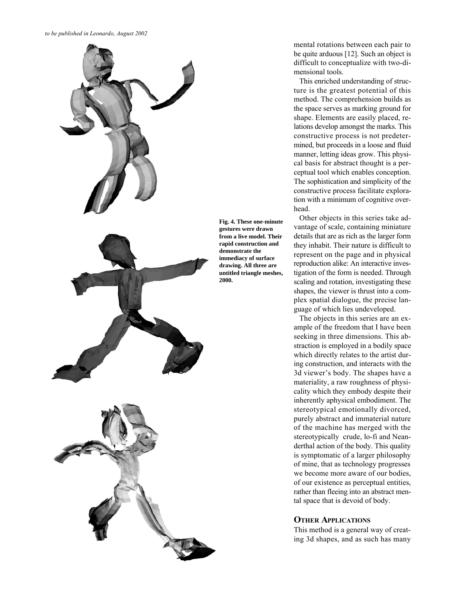

mental rotations between each pair to be quite arduous [12]. Such an object is difficult to conceptualize with two-dimensional tools.

This enriched understanding of structure is the greatest potential of this method. The comprehension builds as the space serves as marking ground for shape. Elements are easily placed, relations develop amongst the marks. This constructive process is not predetermined, but proceeds in a loose and fluid manner, letting ideas grow. This physical basis for abstract thought is a perceptual tool which enables conception. The sophistication and simplicity of the constructive process facilitate exploration with a minimum of cognitive overhead.

Other objects in this series take advantage of scale, containing miniature details that are as rich as the larger form they inhabit. Their nature is difficult to represent on the page and in physical reproduction alike: An interactive investigation of the form is needed. Through scaling and rotation, investigating these shapes, the viewer is thrust into a complex spatial dialogue, the precise language of which lies undeveloped.

The objects in this series are an example of the freedom that I have been seeking in three dimensions. This abstraction is employed in a bodily space which directly relates to the artist during construction, and interacts with the 3d viewer's body. The shapes have a materiality, a raw roughness of physicality which they embody despite their inherently aphysical embodiment. The stereotypical emotionally divorced, purely abstract and immaterial nature of the machine has merged with the stereotypically crude, lo-fi and Neanderthal action of the body. This quality is symptomatic of a larger philosophy of mine, that as technology progresses we become more aware of our bodies, of our existence as perceptual entities, rather than fleeing into an abstract mental space that is devoid of body.

# **OTHER APPLICATIONS**

This method is a general way of creating 3d shapes, and as such has many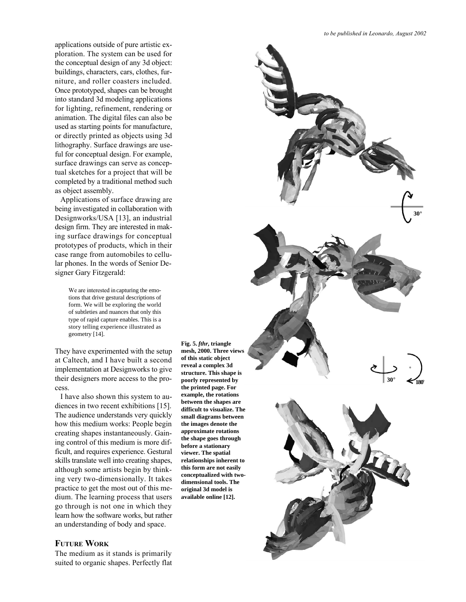applications outside of pure artistic exploration. The system can be used for the conceptual design of any 3d object: buildings, characters, cars, clothes, furniture, and roller coasters included. Once prototyped, shapes can be brought into standard 3d modeling applications for lighting, refinement, rendering or animation. The digital files can also be used as starting points for manufacture, or directly printed as objects using 3d lithography. Surface drawings are useful for conceptual design. For example, surface drawings can serve as conceptual sketches for a project that will be completed by a traditional method such as object assembly.

Applications of surface drawing are being investigated in collaboration with Designworks/USA [13], an industrial design firm. They are interested in making surface drawings for conceptual prototypes of products, which in their case range from automobiles to cellular phones. In the words of Senior Designer Gary Fitzgerald:

> We are interested in capturing the emotions that drive gestural descriptions of form. We will be exploring the world of subtleties and nuances that only this type of rapid capture enables. This is a story telling experience illustrated as geometry [14].

They have experimented with the setup at Caltech, and I have built a second implementation at Designworks to give their designers more access to the process.

I have also shown this system to audiences in two recent exhibitions [15]. The audience understands very quickly how this medium works: People begin creating shapes instantaneously. Gaining control of this medium is more difficult, and requires experience. Gestural skills translate well into creating shapes, although some artists begin by thinking very two-dimensionally. It takes practice to get the most out of this medium. The learning process that users go through is not one in which they learn how the software works, but rather an understanding of body and space.

# **FUTURE WORK**

The medium as it stands is primarily suited to organic shapes. Perfectly flat

**Fig. 5.** *fthr***, triangle mesh, 2000. Three views of this static object reveal a complex 3d structure. This shape is poorly represented by the printed page. For example, the rotations between the shapes are difficult to visualize. The small diagrams between the images denote the approximate rotations the shape goes through before a stationary viewer. The spatial relationships inherent to this form are not easily conceptualized with twodimensional tools. The original 3d model is available online [12].**